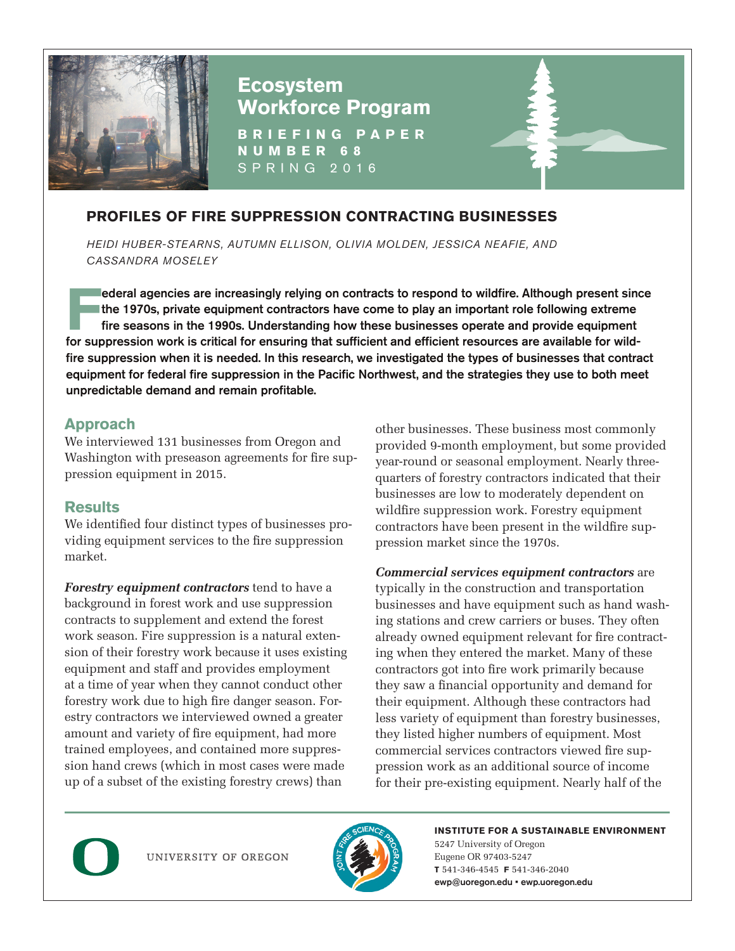

## **PROFILES OF FIRE SUPPRESSION CONTRACTING BUSINESSES**

*HEIDI HUBER-STEARNS, AUTUMN ELLISON, OLIVIA MOLDEN, JESSICA NEAFIE, AND CASSANDRA MOSELEY* 

**FREE EXECUTE:** The 1970s, private equipment contractors have come to play an important role following extreme<br>fire seasons in the 1990s. Understanding how these businesses operate and provide equipment<br>for currenceion wor the 1970s, private equipment contractors have come to play an important role following extreme for suppression work is critical for ensuring that sufficient and efficient resources are available for wildfire suppression when it is needed. In this research, we investigated the types of businesses that contract equipment for federal fire suppression in the Pacific Northwest, and the strategies they use to both meet unpredictable demand and remain profitable.

## **Approach**

We interviewed 131 businesses from Oregon and Washington with preseason agreements for fire suppression equipment in 2015.

## **Results**

We identified four distinct types of businesses providing equipment services to the fire suppression market.

*Forestry equipment contractors* tend to have a background in forest work and use suppression contracts to supplement and extend the forest work season. Fire suppression is a natural extension of their forestry work because it uses existing equipment and staff and provides employment at a time of year when they cannot conduct other forestry work due to high fire danger season. Forestry contractors we interviewed owned a greater amount and variety of fire equipment, had more trained employees, and contained more suppression hand crews (which in most cases were made up of a subset of the existing forestry crews) than

other businesses. These business most commonly provided 9-month employment, but some provided year-round or seasonal employment. Nearly threequarters of forestry contractors indicated that their businesses are low to moderately dependent on wildfire suppression work. Forestry equipment contractors have been present in the wildfire suppression market since the 1970s.

*Commercial services equipment contractors* are typically in the construction and transportation businesses and have equipment such as hand washing stations and crew carriers or buses. They often already owned equipment relevant for fire contracting when they entered the market. Many of these contractors got into fire work primarily because they saw a financial opportunity and demand for their equipment. Although these contractors had less variety of equipment than forestry businesses, they listed higher numbers of equipment. Most commercial services contractors viewed fire suppression work as an additional source of income for their pre-existing equipment. Nearly half of the

UNIVERSITY OF OREGON



**INSTITUTE FOR A SUSTAINABLE ENVIRONMENT**

5247 University of Oregon Eugene OR 97403-5247 **T** 541-346-4545 **F** 541-346-2040 ewp@uoregon.edu • ewp.uoregon.edu